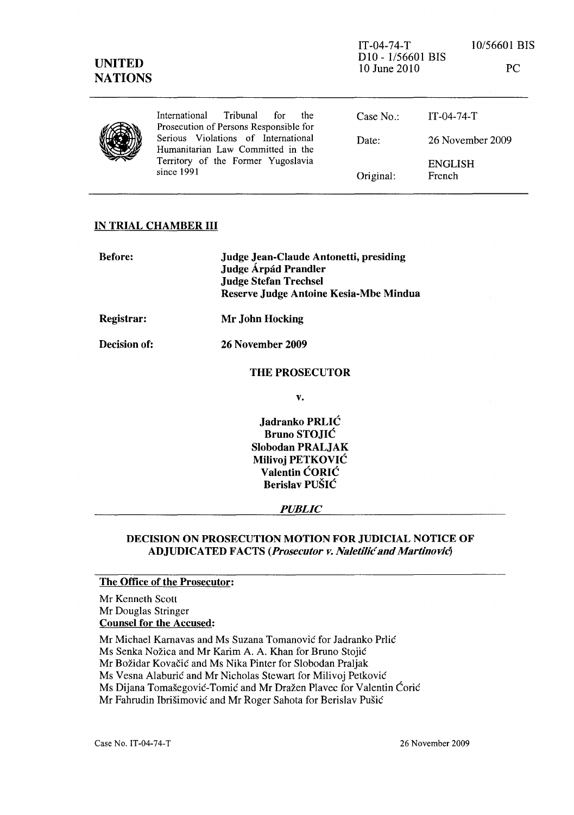PC

|  | International Tribunal<br>for<br>the<br>Prosecution of Persons Responsible for                                               | Case $No.$ : | IT-04-74-T                      |
|--|------------------------------------------------------------------------------------------------------------------------------|--------------|---------------------------------|
|  | Serious Violations of International<br>Humanitarian Law Committed in the<br>Territory of the Former Yugoslavia<br>since 1991 | Date:        | 26 November 2009                |
|  |                                                                                                                              | Original:    | <b>ENGLISH</b><br><b>French</b> |

## IN TRIAL CHAMBER III

| <b>Before:</b> | Judge Jean-Claude Antonetti, presiding<br><b>Judge Árpád Prandler</b><br><b>Judge Stefan Trechsel</b><br>Reserve Judge Antoine Kesia-Mbe Mindua |
|----------------|-------------------------------------------------------------------------------------------------------------------------------------------------|
| Registrar:     | Mr John Hocking                                                                                                                                 |
| Decision of:   | 26 November 2009                                                                                                                                |
|                | <b>THE PROSECUTOR</b>                                                                                                                           |
|                | v.                                                                                                                                              |
|                | Ledvenke DDI IĆ                                                                                                                                 |

Jadranko PRLIC Bruno STOJIC Slobodan PRALJAK Milivoj PETKOVIC Valentin CORIC Berislav PUSIC

*PUBLIC* 

## DECISION ON PROSECUTION MOTION FOR JUDICIAL NOTICE OF ADJUDICATED FACTS (Prosecutor v. Naletilić and Martinović)

## The Office of the Prosecutor:

Mr Kenneth Scott Mr Douglas Stringer Counsel for the Accused:

Mr Michael Karnavas and Ms Suzana Tomanović for Jadranko Prlić

Ms Senka Nozica and Mr Karim A. A. Khan for Bruno Stojie

Mr Božidar Kovačić and Ms Nika Pinter for Slobodan Praljak

Ms Vesna Alaburić and Mr Nicholas Stewart for Milivoj Petković

Ms Dijana Tomašegović-Tomić and Mr Dražen Plavec for Valentin Ćorić

Mr Fahrudin Ibrišimović and Mr Roger Sahota for Berislav Pušić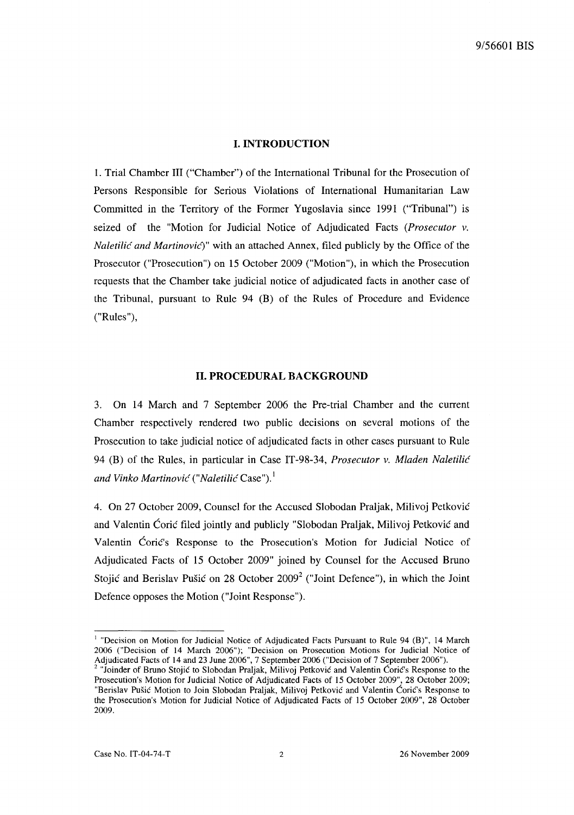#### **I. INTRODUCTION**

1. Trial Chamber III ("Chamber") of the International Tribunal for the Prosecution of Persons Responsible for Serious Violations of International Humanitarian Law Committed in the Territory of the Former Yugoslavia since 1991 ("Tribunal") is seized of the "Motion for Judicial Notice of Adjudicated Facts *(Prosecutor v. Naletilić and Martinović*)" with an attached Annex, filed publicly by the Office of the Prosecutor ("Prosecution") on 15 October 2009 ("Motion"), in which the Prosecution requests that the Chamber take judicial notice of adjudicated facts in another case of the Tribunal, pursuant to Rule 94 (B) of the Rules of Procedure and Evidence ("Rules"),

#### **11. PROCEDURAL BACKGROUND**

3. On 14 March and 7 September 2006 the Pre-trial Chamber and the current Chamber respectively rendered two public decisions on several motions of the Prosecution to take judicial notice of adjudicated facts in other cases pursuant to Rule 94 (B) of the Rules, in particular in Case IT-98-34, *Prosecutor v. Mladen Naletilic and Vinko Martinovic ("Naletilic* Case").!

4. On 27 October 2009, Counsel for the Accused Slobodan Praljak, Milivoj Petkovie and Valentin Ćorić filed jointly and publicly "Slobodan Praljak, Milivoj Petković and Valentin Corie's Response to the Prosecution's Motion for Judicial Notice of Adjudicated Facts of 15 October 2009" joined by Counsel for the Accused Bruno Stojić and Berislav Pušić on 28 October  $2009<sup>2</sup>$  ("Joint Defence"), in which the Joint Defence opposes the Motion ("Joint Response").

<sup>&</sup>lt;sup>1</sup> "Decision on Motion for Judicial Notice of Adjudicated Facts Pursuant to Rule 94 (B)", 14 March 2006 ("Decision of 14 March 2006"); "Decision on Prosecution Motions for Judicial Notice of Adjudicated Facts of 14 and 23 June 2006", 7 September 2006 ("Decision of 7 September 2006").

<sup>2 &</sup>quot;Joinder of Bruno Stojie to Slobodan Praljak, Milivoj Petkovie and Valentin Corie's Response to the Prosecution's Motion for Judicial Notice of Adjudicated Facts of 15 October 2009", 28 October 2009; "Berislav Pusie Motion to Join Slobodan PraIjak, Milivoj Petkovie and Valentin Corie's Response to the Prosecution's Motion for Judicial Notice of Adjudicated Facts of 15 October 2009", 28 October 2009.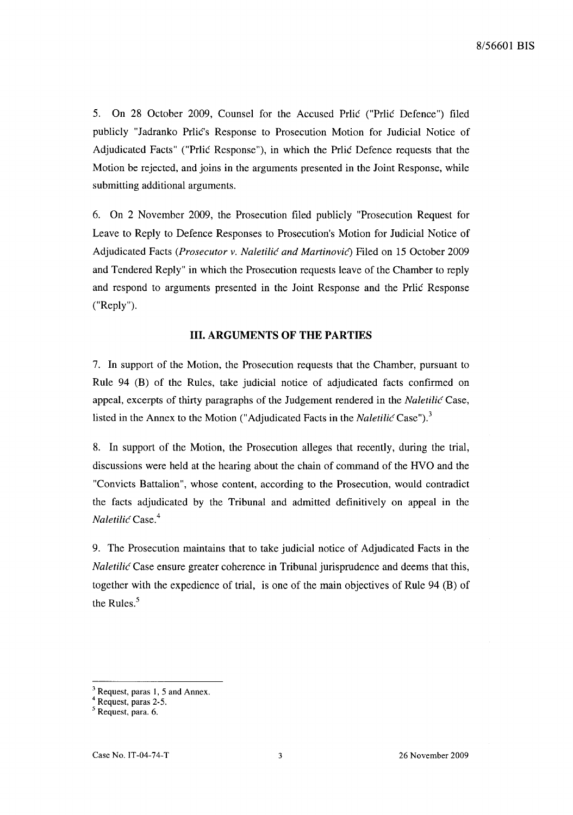5. On 28 October 2009, Counsel for the Accused Prlic ("Prlic Defence") filed publicly "Jadranko Prlic's Response to Prosecution Motion for Judicial Notice of Adjudicated Facts" ("Prlic Response"), in which the Prlic Defence requests that the Motion be rejected, and joins in the arguments presented in the Joint Response, while submitting additional arguments.

6. On 2 November 2009, the Prosecution filed publicly "Prosecution Request for Leave to Reply to Defence Responses to Prosecution's Motion for Judicial Notice of Adjudicated Facts *(Prosecutor v. Naletilic and Martinovic)* Filed on 15 October 2009 and Tendered Reply" in which the Prosecution requests leave of the Chamber to reply and respond to arguments presented in the Joint Response and the Prlic Response ("Reply").

### **Ill. ARGUMENTS OF THE PARTIES**

7. In support of the Motion, the Prosecution requests that the Chamber, pursuant to Rule 94 (B) of the Rules, take judicial notice of adjudicated facts confirmed on appeal, excerpts of thirty paragraphs of the Judgement rendered in the *Naletilic* Case, listed in the Annex to the Motion ("Adjudicated Facts in the *Naletilic* Case").<sup>3</sup>

8. In support of the Motion, the Prosecution alleges that recently, during the trial, discussions were held at the hearing about the chain of command of the HVO and the "Convicts Battalion", whose content, according to the Prosecution, would contradict the facts adjudicated by the Tribunal and admitted definitively on appeal in the *Naletilic* Case.<sup>4</sup>

9. The Prosecution maintains that to take judicial notice of Adjudicated Facts in the *Naletilić* Case ensure greater coherence in Tribunal jurisprudence and deems that this, together with the expedience of trial, is one of the main objectives of Rule 94 (B) of the Rules.<sup>5</sup>

 $\frac{3}{1}$  Request, paras 1, 5 and Annex.

<sup>4</sup> Request, paras 2-5.

<sup>5</sup> Request, para. 6.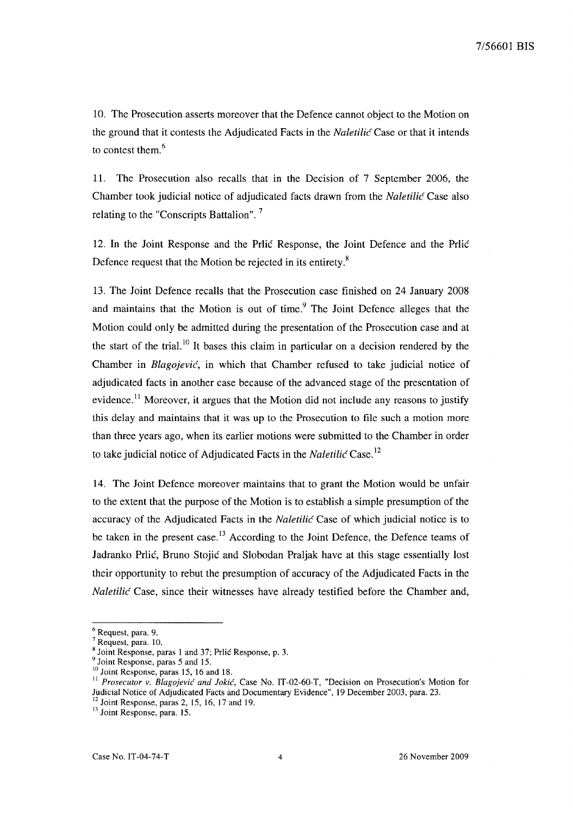10. The Prosecution asserts moreover that the Defence cannot object to the Motion on the ground that it contests the Adjudicated Facts in the *Naletilic* Case or that it intends to contest them.<sup>6</sup>

11. The Prosecution also recalls that in the Decision of 7 September 2006, the Chamber took judicial notice of adjudicated facts drawn from the *Naletilic* Case also relating to the "Conscripts Battalion". 7

12. In the Joint Response and the Prlic Response, the Joint Defence and the Prlic Defence request that the Motion be rejected in its entirety.<sup>8</sup>

13. The Joint Defence recalls that the Prosecution case finished on 24 January 2008 and maintains that the Motion is out of time. $9$  The Joint Defence alleges that the Motion could only be admitted during the presentation of the Prosecution case and at the start of the trial.<sup>10</sup> It bases this claim in particular on a decision rendered by the Chamber in *Blagojevic,* in which that Chamber refused to take judicial notice of adjudicated facts in another case because of the advanced stage of the presentation of evidence.<sup>11</sup> Moreover, it argues that the Motion did not include any reasons to justify this delay and maintains that it was up to the Prosecution to file such a motion more than three years ago, when its earlier motions were submitted to the Chamber in order to take judicial notice of Adjudicated Facts in the *Naletilic* Case. <sup>12</sup>

14. The Joint Defence moreover maintains that to grant the Motion would be unfair to the extent that the purpose of the Motion is to establish a simple presumption of the accuracy of the Adjudicated Facts in the *Naletilic* Case of which judicial notice is to be taken in the present case.<sup>13</sup> According to the Joint Defence, the Defence teams of Jadranko Prlić, Bruno Stojić and Slobodan Praljak have at this stage essentially lost their opportunity to rebut the presumption of accuracy of the Adjudicated Facts in the *Naletilic* Case, since their witnesses have already testified before the Chamber and,

<sup>6</sup> Request, para. 9.

 $7$  Request, para. 10.

<sup>8</sup> Joint Response, paras 1 and 37; Prlic Response, p. 3.

<sup>&</sup>lt;sup>9</sup> Joint Response, paras 5 and 15.

<sup>&</sup>lt;sup>10</sup> Joint Response, paras 15, 16 and 18.

<sup>&</sup>lt;sup>11</sup> Prosecutor v. Blagojević and Jokić, Case No. IT-02-60-T, "Decision on Prosecution's Motion for Judicial Notice of Adjudicated Facts and Documentary Evidence", 19 December 2003, para. 23.

 $12$  Joint Response, paras 2, 15, 16, 17 and 19.

<sup>&</sup>lt;sup>13</sup> Joint Response, para. 15.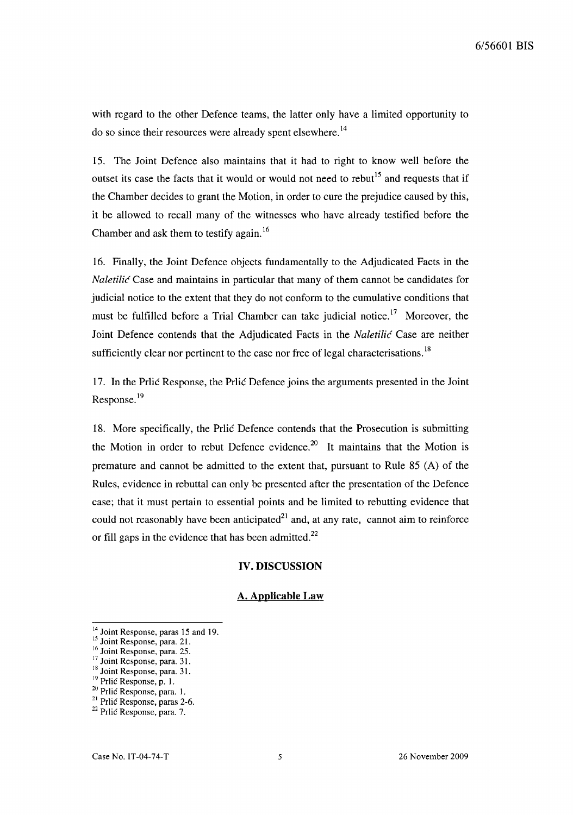with regard to the other Defence teams, the latter only have a limited opportunity to do so since their resources were already spent elsewhere.<sup>14</sup>

15. The Joint Defence also maintains that it had to right to know well before the outset its case the facts that it would or would not need to rebut<sup>15</sup> and requests that if the Chamber decides to grant the Motion, in order to cure the prejudice caused by this, it be allowed to recall many of the witnesses who have already testified before the Chamber and ask them to testify again.<sup>16</sup>

16. Finally, the Joint Defence objects fundamentally to the Adjudicated Facts in the *Naletilic* Case and maintains in particular that many of them cannot be candidates for judicial notice to the extent that they do not conform to the cumulative conditions that must be fulfilled before a Trial Chamber can take judicial notice.<sup>17</sup> Moreover, the Joint Defence contends that the Adjudicated Facts in the *Naletilic* Case are neither sufficiently clear nor pertinent to the case nor free of legal characterisations.<sup>18</sup>

17. In the Prlic Response, the Prlic Defence joins the arguments presented in the Joint Response.<sup>19</sup>

18. More specifically, the Prlic Defence contends that the Prosecution is submitting the Motion in order to rebut Defence evidence.<sup>20</sup> It maintains that the Motion is premature and cannot be admitted to the extent that, pursuant to Rule  $85(A)$  of the Rules, evidence in rebuttal can only be presented after the presentation of the Defence case; that it must pertain to essential points and be limited to rebutting evidence that could not reasonably have been anticipated $2<sup>1</sup>$  and, at any rate, cannot aim to reinforce or fill gaps in the evidence that has been admitted. $^{22}$ 

#### IV. DISCUSSION

#### A. Applicable Law

<sup>&</sup>lt;sup>14</sup> Joint Response, paras 15 and 19.

<sup>&</sup>lt;sup>15</sup> Joint Response, para. 21. <sup>16</sup> Joint Response, para. 25.

<sup>&</sup>lt;sup>17</sup> Joint Response, para. 31.

<sup>&</sup>lt;sup>18</sup> Joint Response, para. 31.

<sup>&</sup>lt;sup>19</sup> Prlic Response, p. 1.

<sup>20</sup> Prlic Response. para. I.

<sup>&</sup>lt;sup>21</sup> Prlic Response, paras 2-6.

<sup>22</sup> Prlic Response. para. 7.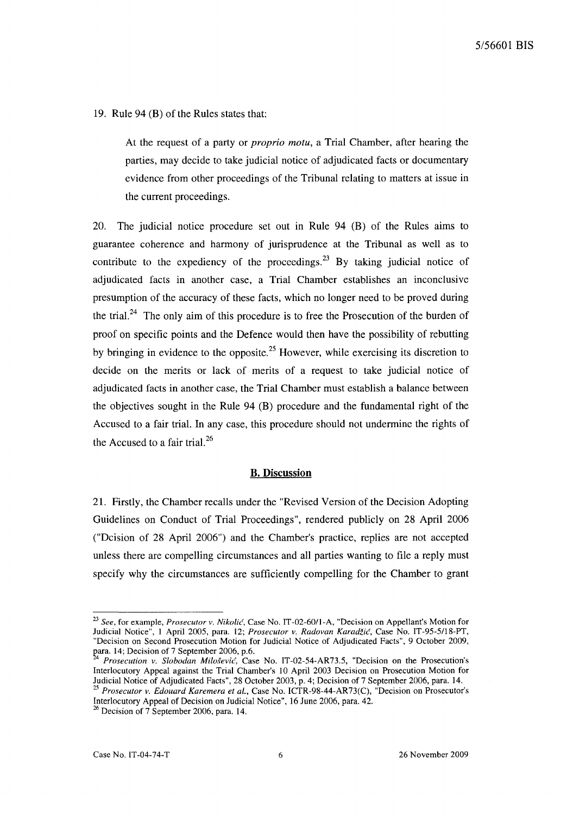19. Rule 94 (B) of the Rules states that:

At the request of a party or *proprio motu,* a Trial Chamber, after hearing the parties, may decide to take judicial notice of adjudicated facts or documentary evidence from other proceedings of the Tribunal relating to matters at issue in the current proceedings.

20. The judicial notice procedure set out in Rule 94 (B) of the Rules aims to guarantee coherence and harmony of jurisprudence at the Tribunal as well as to contribute to the expediency of the proceedings.<sup>23</sup> By taking judicial notice of adjudicated facts in another case, a Trial Chamber establishes an inconclusive presumption of the accuracy of these facts, which no longer need to be proved during the trial.<sup>24</sup> The only aim of this procedure is to free the Prosecution of the burden of proof on specific points and the Defence would then have the possibility of rebutting by bringing in evidence to the opposite.<sup>25</sup> However, while exercising its discretion to decide on the merits or lack of merits of a request to take judicial notice of adjudicated facts in another case, the Trial Chamber must establish a balance between the objectives sought in the Rule 94 (B) procedure and the fundamental right of the Accused to a fair trial. In any case, this procedure should not undermine the rights of the Accused to a fair trial. $^{26}$ 

#### **B. Discussion**

21. Firstly, the Chamber recalls under the "Revised Version of the Decision Adopting Guidelines on Conduct of Trial Proceedings", rendered publicly on 28 April 2006 ("Dcision of 28 April 2006") and the Chamber's practice, replies are not accepted unless there are compelling circumstances and all parties wanting to file a reply must specify why the circumstances are sufficiently compelling for the Chamber to grant

Interlocutory Appeal of Decision on JUdicial Notice", 16 June 2006, para. 42.

*<sup>23</sup> See,* for example, *Prosecutor v. Nikolic,* Case No. IT-02-60/1-A, "Decision on Appellant's Motion for Judicial Notice", I April 2005, para. 12; *Prosecutor v. Radovan KaradZic,* Case No. IT-95-5/18-PT, "Decision on Second Prosecution Motion for Judicial Notice of Adjudicated Facts", 9 October 2009, para. 14; Decision of 7 September 2006, p.6.

*A Prosecution v. Slobodan Milosevic,* Case No. IT-02-S4-AR73.S, "Decision on the Prosecution's Interlocutory Appeal against the Trial Chamber's 10 April 2003 Decision on Prosecution Motion for Judicial Notice of Adjudicated Facts", 28 October 2003, p. 4; Decision of7 September 2006, para. 14. *25 Prosecutor v. Edouard Karemera et al.,* Case No. ICTR-98-44-AR73(C), "Decision on Prosecutor's

<sup>&</sup>lt;sup>26</sup> Decision of 7 September 2006, para. 14.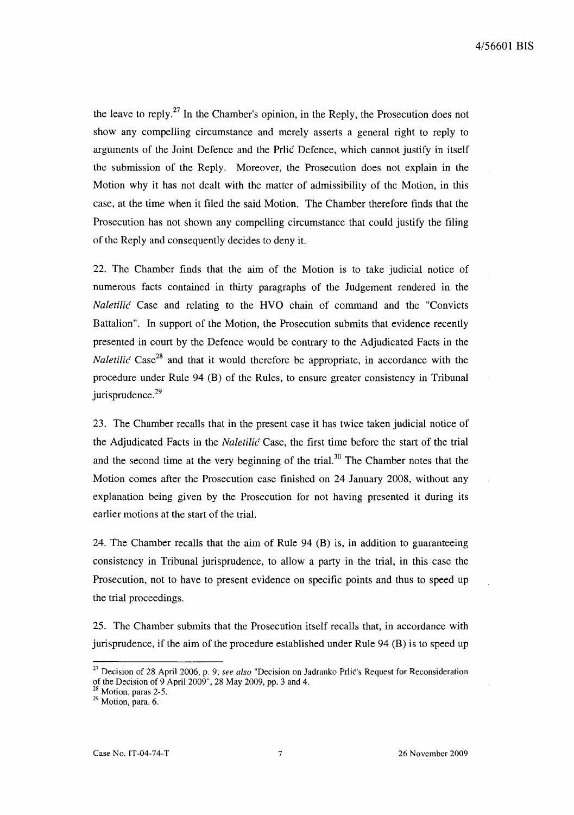the leave to reply.<sup>27</sup> In the Chamber's opinion, in the Reply, the Prosecution does not show any compelling circumstance and merely asserts a general right to reply to arguments of the Joint Defence and the Prlic Defence, which cannot justify in itself the submission of the Reply. Moreover, the Prosecution does not explain in the Motion why it has not dealt with the matter of admissibility of the Motion, in this case, at the time when it filed the said Motion. The Chamber therefore finds that the Prosecution has not shown any compelling circumstance that could justify the filing of the Reply and consequently decides to deny it.

22. The Chamber finds that the aim of the Motion is to take judicial notice of numerous facts contained in thirty paragraphs of the Judgement rendered in the *Naletilic* Case and relating to the HVO chain of command and the "Convicts Battalion". In support of the Motion, the Prosecution submits that evidence recently presented in court by the Defence would be contrary to the Adjudicated Facts in the *Naletilic* Case<sup>28</sup> and that it would therefore be appropriate, in accordance with the procedure under Rule 94 (B) of the Rules, to ensure greater consistency in Tribunal jurisprudence. $29$ 

23. The Chamber recalls that in the present case it has twice taken judicial notice of the Adjudicated Facts in the *Naletilic* Case, the first time before the start of the trial and the second time at the very beginning of the trial.<sup>30</sup> The Chamber notes that the Motion comes after the Prosecution case finished on 24 January 2008, without any explanation being given by the Prosecution for not having presented it during its earlier motions at the start of the trial.

24. The Chamber recalls that the aim of Rule 94 (B) is, in addition to guaranteeing consistency in Tribunal jurisprudence, to allow a party in the trial, in this case the Prosecution, not to have to present evidence on specific points and thus to speed up the trial proceedings.

25. The Chamber submits that the Prosecution itself recalls that, in accordance with jurisprudence, if the aim of the procedure established under Rule 94 (B) is to speed up

<sup>27</sup> Decision of 28 April 2006, p. 9; *see also* "Decision on ladranko Prlic's Request for Reconsideration of the Decision of 9 April 2009", 28 May 2009, pp. 3 and 4.

 $2<sup>28</sup>$  Motion, paras 2-5.

 $^{29}$  Motion, para. 6.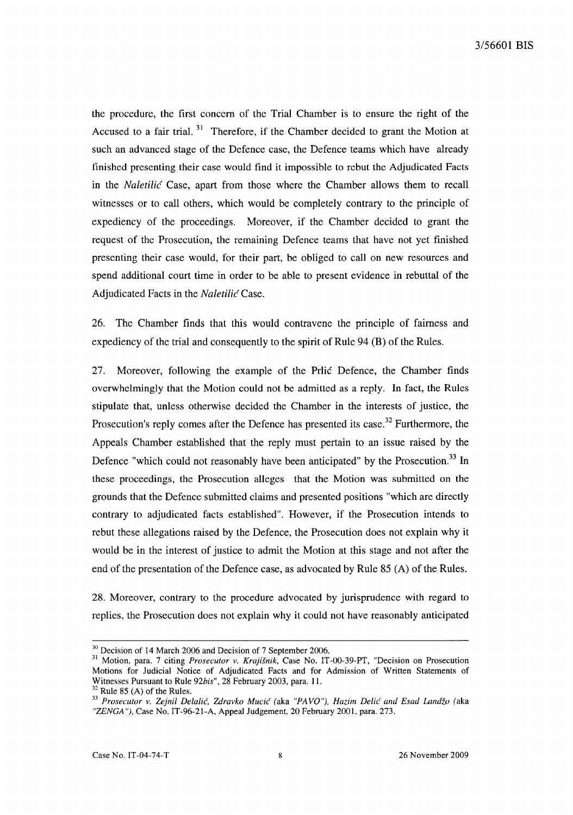the procedure, the first concern of the Trial Chamber is to ensure the right of the Accused to a fair trial.  $31$  Therefore, if the Chamber decided to grant the Motion at such an advanced stage of the Defence case, the Defence teams which have already finished presenting their case would find it impossible to rebut the Adjudicated Facts in the *Naletilic* Case, apart from those where the Chamber allows them to recall witnesses or to call others, which would be completely contrary to the principle of expediency of the proceedings. Moreover, if the Chamber decided to grant the request of the Prosecution, the remaining Defence teams that have not yet finished presenting their case would, for their part, be obliged to call on new resources and spend additional court time in order to be able to present evidence in rebuttal of the Adjudicated Facts in the *Naletilic* Case.

26. The Chamber finds that this would contravene the principle of fairness and expediency of the trial and consequently to the spirit of Rule 94 (B) of the Rules.

27. Moreover, following the example of the Prlic Defence, the Chamber finds overwhelmingly that the Motion could not be admitted as a reply. **In** fact, the Rules stipulate that, unless otherwise decided the Chamber in the interests of justice, the Prosecution's reply comes after the Defence has presented its case.<sup>32</sup> Furthermore, the Appeals Chamber established that the reply must pertain to an issue raised by the Defence "which could not reasonably have been anticipated" by the Prosecution.<sup>33</sup> In these proceedings, the Prosecution alleges that the Motion was submitted on the grounds that the Defence submitted claims and presented positions "which are directly contrary to adjudicated facts established". However, if the Prosecution intends to rebut these allegations raised by the Defence, the Prosecution does not explain why it would be in the interest of justice to admit the Motion at this stage and not after the end of the presentation of the Defence case, as advocated by Rule 85 (A) of the Rules.

28. Moreover, contrary to the procedure advocated by jurisprudence with regard to replies, the Prosecution does not explain why it could not have reasonably anticipated

 $32$  Rule 85 (A) of the Rules.

<sup>&</sup>lt;sup>30</sup> Decision of 14 March 2006 and Decision of 7 September 2006.

<sup>31</sup> Motion, para. 7 citing *Prosecutor* v. *Krajisnik,* Case No. IT-00-39-PT, "Decision on Prosecution Motions for Judicial Notice of Adjudicated Facts and for Admission of Written Statements of Witnesses Pursuant to Rule *92bis",* 28 February 2003, para. 11.

*<sup>33</sup> Prosecutor v. Zejnil Delalic, Zdravko Mucic* (aka *"PAVQ"), Hazim Delic and Esad Landzo* (aka *"ZENGA* "), Case No. IT-96-21-A, Appeal Judgement, 20 February 2001, para. 273.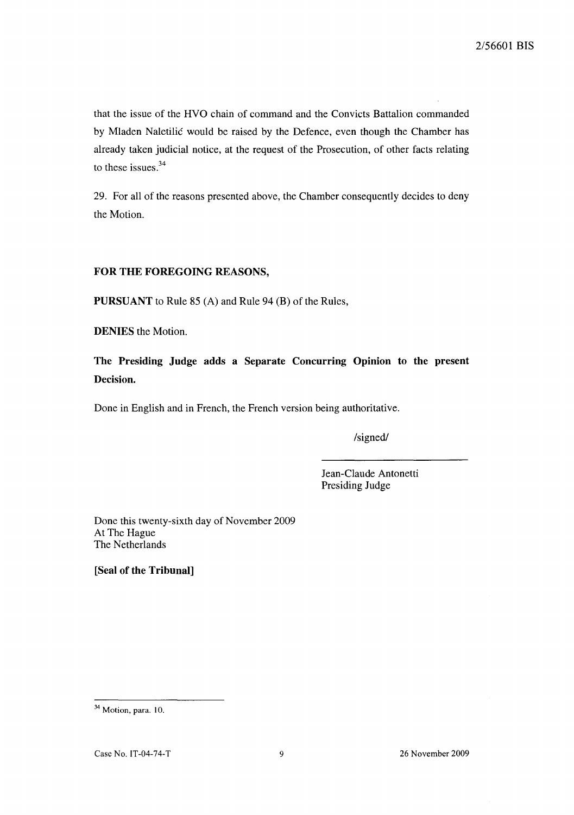that the issue of the HVO chain of command and the Convicts Battalion commanded by Mladen Naletilic would be raised by the Defence, even though the Chamber has already taken judicial notice, at the request of the Prosecution, of other facts relating to these issues. $34$ 

29. For all of the reasons presented above, the Chamber consequently decides to deny the Motion.

## **FOR THE FOREGOING REASONS,**

**PURSUANT** to Rule 85 (A) and Rule 94 (B) of the Rules,

**DENIES** the Motion.

**The Presiding Judge adds a Separate Concurring Opinion to the present Decision.** 

Done in English and in French, the French version being authoritative.

/signed/

Jean-Claude Antonetti Presiding Judge

Done this twenty-sixth day of November 2009 At The Hague The Netherlands

**[Seal of the Tribunal]** 

<sup>&</sup>lt;sup>34</sup> Motion, para. 10.